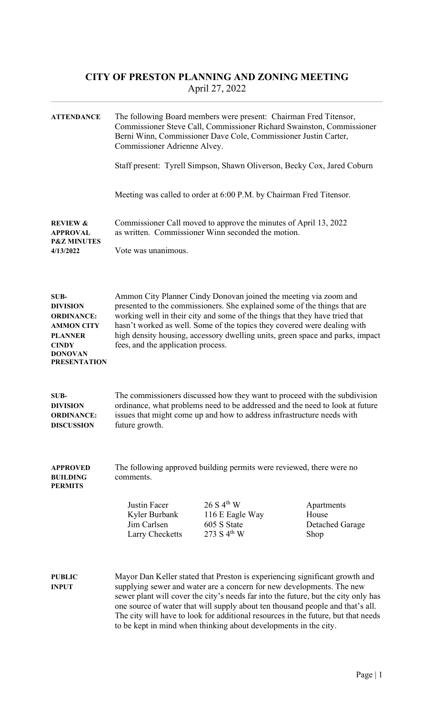## CITY OF PRESTON PLANNING AND ZONING MEETING April 27, 2022

| <b>ATTENDANCE</b>                                                                                                                            | The following Board members were present: Chairman Fred Titensor,<br>Commissioner Steve Call, Commissioner Richard Swainston, Commissioner<br>Berni Winn, Commissioner Dave Cole, Commissioner Justin Carter,<br>Commissioner Adrienne Alvey.<br>Staff present: Tyrell Simpson, Shawn Oliverson, Becky Cox, Jared Coburn                                                                                                                                                              |                                                                                                                        |                                                |
|----------------------------------------------------------------------------------------------------------------------------------------------|---------------------------------------------------------------------------------------------------------------------------------------------------------------------------------------------------------------------------------------------------------------------------------------------------------------------------------------------------------------------------------------------------------------------------------------------------------------------------------------|------------------------------------------------------------------------------------------------------------------------|------------------------------------------------|
|                                                                                                                                              |                                                                                                                                                                                                                                                                                                                                                                                                                                                                                       | Meeting was called to order at 6:00 P.M. by Chairman Fred Titensor.                                                    |                                                |
| <b>REVIEW &amp;</b><br><b>APPROVAL</b><br><b>P&amp;Z MINUTES</b><br>4/13/2022                                                                | Vote was unanimous.                                                                                                                                                                                                                                                                                                                                                                                                                                                                   | Commissioner Call moved to approve the minutes of April 13, 2022<br>as written. Commissioner Winn seconded the motion. |                                                |
| SUB-<br><b>DIVISION</b><br><b>ORDINANCE:</b><br><b>AMMON CITY</b><br><b>PLANNER</b><br><b>CINDY</b><br><b>DONOVAN</b><br><b>PRESENTATION</b> | Ammon City Planner Cindy Donovan joined the meeting via zoom and<br>presented to the commissioners. She explained some of the things that are<br>working well in their city and some of the things that they have tried that<br>hasn't worked as well. Some of the topics they covered were dealing with<br>high density housing, accessory dwelling units, green space and parks, impact<br>fees, and the application process.                                                       |                                                                                                                        |                                                |
| SUB-<br><b>DIVISION</b><br><b>ORDINANCE:</b><br><b>DISCUSSION</b>                                                                            | The commissioners discussed how they want to proceed with the subdivision<br>ordinance, what problems need to be addressed and the need to look at future<br>issues that might come up and how to address infrastructure needs with<br>future growth.                                                                                                                                                                                                                                 |                                                                                                                        |                                                |
| <b>APPROVED</b><br><b>BUILDING</b><br><b>PERMITS</b>                                                                                         | The following approved building permits were reviewed, there were no<br>comments.                                                                                                                                                                                                                                                                                                                                                                                                     |                                                                                                                        |                                                |
|                                                                                                                                              | <b>Justin Facer</b><br>Kyler Burbank<br>Jim Carlsen<br>Larry Checketts                                                                                                                                                                                                                                                                                                                                                                                                                | 26 S 4 <sup>th</sup> W<br>116 E Eagle Way<br>605 S State<br>273 S $4^{th}$ W                                           | Apartments<br>House<br>Detached Garage<br>Shop |
| <b>PUBLIC</b><br><b>INPUT</b>                                                                                                                | Mayor Dan Keller stated that Preston is experiencing significant growth and<br>supplying sewer and water are a concern for new developments. The new<br>sewer plant will cover the city's needs far into the future, but the city only has<br>one source of water that will supply about ten thousand people and that's all.<br>The city will have to look for additional resources in the future, but that needs<br>to be kept in mind when thinking about developments in the city. |                                                                                                                        |                                                |